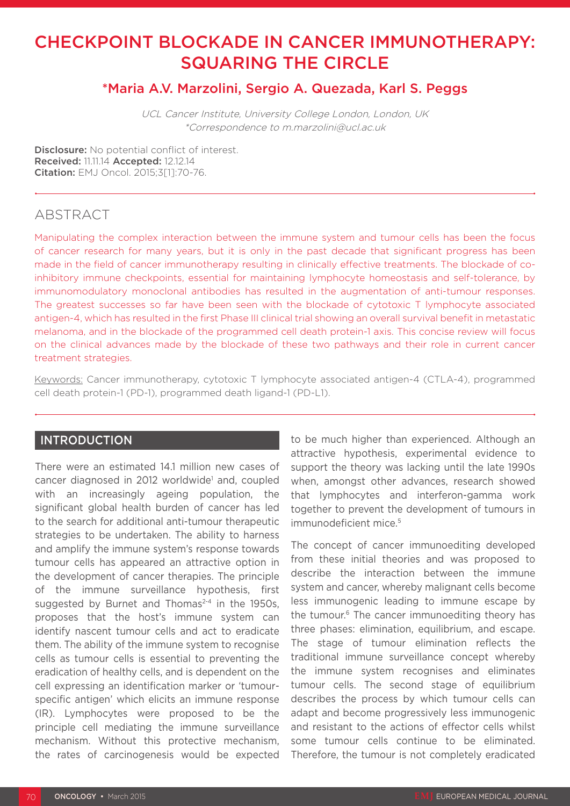# CHECKPOINT BLOCKADE IN CANCER IMMUNOTHERAPY: SQUARING THE CIRCLE

# \*Maria A.V. Marzolini, Sergio A. Quezada, Karl S. Peggs

UCL Cancer Institute, University College London, London, UK \*Correspondence to m.marzolini@ucl.ac.uk

Disclosure: No potential conflict of interest. Received: 11.11.14 Accepted: 12.12.14 Citation: EMJ Oncol. 2015;3[1]:70-76.

## ABSTRACT

Manipulating the complex interaction between the immune system and tumour cells has been the focus of cancer research for many years, but it is only in the past decade that significant progress has been made in the field of cancer immunotherapy resulting in clinically effective treatments. The blockade of coinhibitory immune checkpoints, essential for maintaining lymphocyte homeostasis and self-tolerance, by immunomodulatory monoclonal antibodies has resulted in the augmentation of anti-tumour responses. The greatest successes so far have been seen with the blockade of cytotoxic T lymphocyte associated antigen-4, which has resulted in the first Phase III clinical trial showing an overall survival benefit in metastatic melanoma, and in the blockade of the programmed cell death protein-1 axis. This concise review will focus on the clinical advances made by the blockade of these two pathways and their role in current cancer treatment strategies.

Keywords: Cancer immunotherapy, cytotoxic T lymphocyte associated antigen-4 (CTLA-4), programmed cell death protein-1 (PD-1), programmed death ligand-1 (PD-L1).

### INTRODUCTION

There were an estimated 14.1 million new cases of cancer diagnosed in 2012 worldwide<sup>1</sup> and, coupled with an increasingly ageing population, the significant global health burden of cancer has led to the search for additional anti-tumour therapeutic strategies to be undertaken. The ability to harness and amplify the immune system's response towards tumour cells has appeared an attractive option in the development of cancer therapies. The principle of the immune surveillance hypothesis, first suggested by Burnet and Thomas<sup>2-4</sup> in the 1950s. proposes that the host's immune system can identify nascent tumour cells and act to eradicate them. The ability of the immune system to recognise cells as tumour cells is essential to preventing the eradication of healthy cells, and is dependent on the cell expressing an identification marker or 'tumourspecific antigen' which elicits an immune response (IR). Lymphocytes were proposed to be the principle cell mediating the immune surveillance mechanism. Without this protective mechanism, the rates of carcinogenesis would be expected

to be much higher than experienced. Although an attractive hypothesis, experimental evidence to support the theory was lacking until the late 1990s when, amongst other advances, research showed that lymphocytes and interferon-gamma work together to prevent the development of tumours in immunodeficient mice.<sup>5</sup>

The concept of cancer immunoediting developed from these initial theories and was proposed to describe the interaction between the immune system and cancer, whereby malignant cells become less immunogenic leading to immune escape by the tumour.<sup>6</sup> The cancer immunoediting theory has three phases: elimination, equilibrium, and escape. The stage of tumour elimination reflects the traditional immune surveillance concept whereby the immune system recognises and eliminates tumour cells. The second stage of equilibrium describes the process by which tumour cells can adapt and become progressively less immunogenic and resistant to the actions of effector cells whilst some tumour cells continue to be eliminated. Therefore, the tumour is not completely eradicated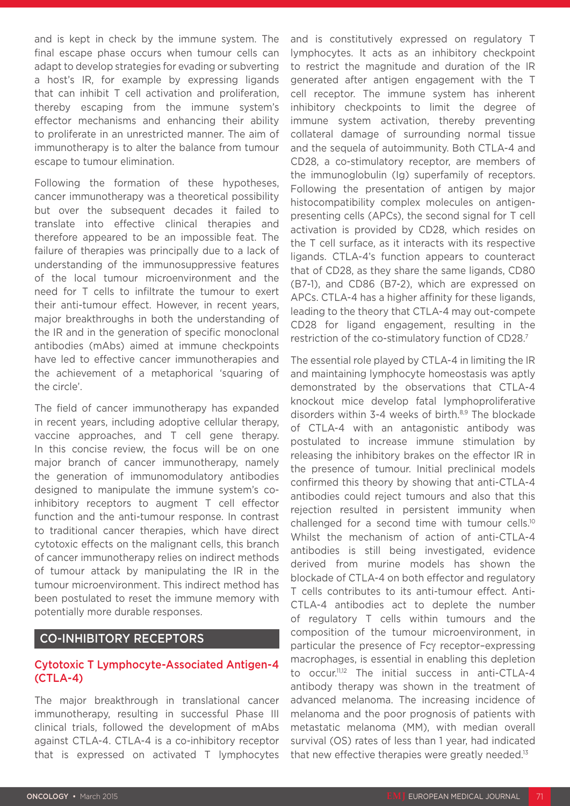and is kept in check by the immune system. The final escape phase occurs when tumour cells can adapt to develop strategies for evading or subverting a host's IR, for example by expressing ligands that can inhibit T cell activation and proliferation, thereby escaping from the immune system's effector mechanisms and enhancing their ability to proliferate in an unrestricted manner. The aim of immunotherapy is to alter the balance from tumour escape to tumour elimination.

Following the formation of these hypotheses, cancer immunotherapy was a theoretical possibility but over the subsequent decades it failed to translate into effective clinical therapies and therefore appeared to be an impossible feat. The failure of therapies was principally due to a lack of understanding of the immunosuppressive features of the local tumour microenvironment and the need for T cells to infiltrate the tumour to exert their anti-tumour effect. However, in recent years, major breakthroughs in both the understanding of the IR and in the generation of specific monoclonal antibodies (mAbs) aimed at immune checkpoints have led to effective cancer immunotherapies and the achievement of a metaphorical 'squaring of the circle'.

The field of cancer immunotherapy has expanded in recent years, including adoptive cellular therapy, vaccine approaches, and T cell gene therapy. In this concise review, the focus will be on one major branch of cancer immunotherapy, namely the generation of immunomodulatory antibodies designed to manipulate the immune system's coinhibitory receptors to augment T cell effector function and the anti-tumour response. In contrast to traditional cancer therapies, which have direct cytotoxic effects on the malignant cells, this branch of cancer immunotherapy relies on indirect methods of tumour attack by manipulating the IR in the tumour microenvironment. This indirect method has been postulated to reset the immune memory with potentially more durable responses.

#### CO-INHIBITORY RECEPTORS

### Cytotoxic T Lymphocyte-Associated Antigen-4 (CTLA-4)

The major breakthrough in translational cancer immunotherapy, resulting in successful Phase III clinical trials, followed the development of mAbs against CTLA-4. CTLA-4 is a co-inhibitory receptor that is expressed on activated T lymphocytes

and is constitutively expressed on regulatory T lymphocytes. It acts as an inhibitory checkpoint to restrict the magnitude and duration of the IR generated after antigen engagement with the T cell receptor. The immune system has inherent inhibitory checkpoints to limit the degree of immune system activation, thereby preventing collateral damage of surrounding normal tissue and the sequela of autoimmunity. Both CTLA-4 and CD28, a co-stimulatory receptor, are members of the immunoglobulin (Ig) superfamily of receptors. Following the presentation of antigen by major histocompatibility complex molecules on antigenpresenting cells (APCs), the second signal for T cell activation is provided by CD28, which resides on the T cell surface, as it interacts with its respective ligands. CTLA-4's function appears to counteract that of CD28, as they share the same ligands, CD80 (B7-1), and CD86 (B7-2), which are expressed on APCs. CTLA-4 has a higher affinity for these ligands, leading to the theory that CTLA-4 may out-compete CD28 for ligand engagement, resulting in the restriction of the co-stimulatory function of CD28.7

The essential role played by CTLA-4 in limiting the IR and maintaining lymphocyte homeostasis was aptly demonstrated by the observations that CTLA-4 knockout mice develop fatal lymphoproliferative disorders within 3-4 weeks of birth.8,9 The blockade of CTLA-4 with an antagonistic antibody was postulated to increase immune stimulation by releasing the inhibitory brakes on the effector IR in the presence of tumour. Initial preclinical models confirmed this theory by showing that anti-CTLA-4 antibodies could reject tumours and also that this rejection resulted in persistent immunity when challenged for a second time with tumour cells.10 Whilst the mechanism of action of anti-CTLA-4 antibodies is still being investigated, evidence derived from murine models has shown the blockade of CTLA-4 on both effector and regulatory T cells contributes to its anti-tumour effect. Anti-CTLA-4 antibodies act to deplete the number of regulatory T cells within tumours and the composition of the tumour microenvironment, in particular the presence of Fcγ receptor–expressing macrophages, is essential in enabling this depletion to occur.11,12 The initial success in anti-CTLA-4 antibody therapy was shown in the treatment of advanced melanoma. The increasing incidence of melanoma and the poor prognosis of patients with metastatic melanoma (MM), with median overall survival (OS) rates of less than 1 year, had indicated that new effective therapies were greatly needed.<sup>13</sup>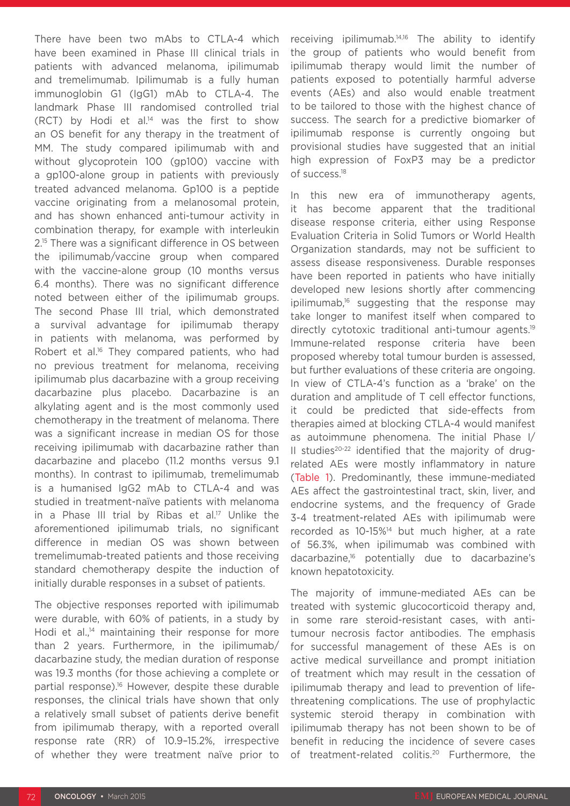There have been two mAbs to CTLA-4 which have been examined in Phase III clinical trials in patients with advanced melanoma, ipilimumab and tremelimumab. Ipilimumab is a fully human immunoglobin G1 (IgG1) mAb to CTLA-4. The landmark Phase III randomised controlled trial (RCT) by Hodi et al.14 was the first to show an OS benefit for any therapy in the treatment of MM. The study compared ipilimumab with and without glycoprotein 100 (gp100) vaccine with a gp100-alone group in patients with previously treated advanced melanoma. Gp100 is a peptide vaccine originating from a melanosomal protein, and has shown enhanced anti-tumour activity in combination therapy, for example with interleukin 2.15 There was a significant difference in OS between the ipilimumab/vaccine group when compared with the vaccine-alone group (10 months versus 6.4 months). There was no significant difference noted between either of the ipilimumab groups. The second Phase III trial, which demonstrated a survival advantage for ipilimumab therapy in patients with melanoma, was performed by Robert et al.<sup>16</sup> They compared patients, who had no previous treatment for melanoma, receiving ipilimumab plus dacarbazine with a group receiving dacarbazine plus placebo. Dacarbazine is an alkylating agent and is the most commonly used chemotherapy in the treatment of melanoma. There was a significant increase in median OS for those receiving ipilimumab with dacarbazine rather than dacarbazine and placebo (11.2 months versus 9.1 months). In contrast to ipilimumab, tremelimumab is a humanised IgG2 mAb to CTLA-4 and was studied in treatment-naïve patients with melanoma in a Phase III trial by Ribas et al.<sup>17</sup> Unlike the aforementioned ipilimumab trials, no significant difference in median OS was shown between tremelimumab-treated patients and those receiving standard chemotherapy despite the induction of initially durable responses in a subset of patients.

The objective responses reported with ipilimumab were durable, with 60% of patients, in a study by Hodi et al., $14$  maintaining their response for more than 2 years. Furthermore, in the ipilimumab/ dacarbazine study, the median duration of response was 19.3 months (for those achieving a complete or partial response).16 However, despite these durable responses, the clinical trials have shown that only a relatively small subset of patients derive benefit from ipilimumab therapy, with a reported overall response rate (RR) of 10.9–15.2%, irrespective of whether they were treatment naïve prior to

receiving ipilimumab.14,16 The ability to identify the group of patients who would benefit from ipilimumab therapy would limit the number of patients exposed to potentially harmful adverse events (AEs) and also would enable treatment to be tailored to those with the highest chance of success. The search for a predictive biomarker of ipilimumab response is currently ongoing but provisional studies have suggested that an initial high expression of FoxP3 may be a predictor of success.18

In this new era of immunotherapy agents, it has become apparent that the traditional disease response criteria, either using Response Evaluation Criteria in Solid Tumors or World Health Organization standards, may not be sufficient to assess disease responsiveness. Durable responses have been reported in patients who have initially developed new lesions shortly after commencing ipilimumab,16 suggesting that the response may take longer to manifest itself when compared to directly cytotoxic traditional anti-tumour agents.<sup>19</sup> Immune-related response criteria have been proposed whereby total tumour burden is assessed, but further evaluations of these criteria are ongoing. In view of CTLA-4's function as a 'brake' on the duration and amplitude of T cell effector functions, it could be predicted that side-effects from therapies aimed at blocking CTLA-4 would manifest as autoimmune phenomena. The initial Phase I/ II studies $20-22$  identified that the majority of drugrelated AEs were mostly inflammatory in nature (Table 1). Predominantly, these immune-mediated AEs affect the gastrointestinal tract, skin, liver, and endocrine systems, and the frequency of Grade 3-4 treatment-related AEs with ipilimumab were recorded as 10-15%<sup>14</sup> but much higher, at a rate of 56.3%, when ipilimumab was combined with dacarbazine,16 potentially due to dacarbazine's known hepatotoxicity.

The majority of immune-mediated AEs can be treated with systemic glucocorticoid therapy and, in some rare steroid-resistant cases, with antitumour necrosis factor antibodies. The emphasis for successful management of these AEs is on active medical surveillance and prompt initiation of treatment which may result in the cessation of ipilimumab therapy and lead to prevention of lifethreatening complications. The use of prophylactic systemic steroid therapy in combination with ipilimumab therapy has not been shown to be of benefit in reducing the incidence of severe cases of treatment-related colitis.20 Furthermore, the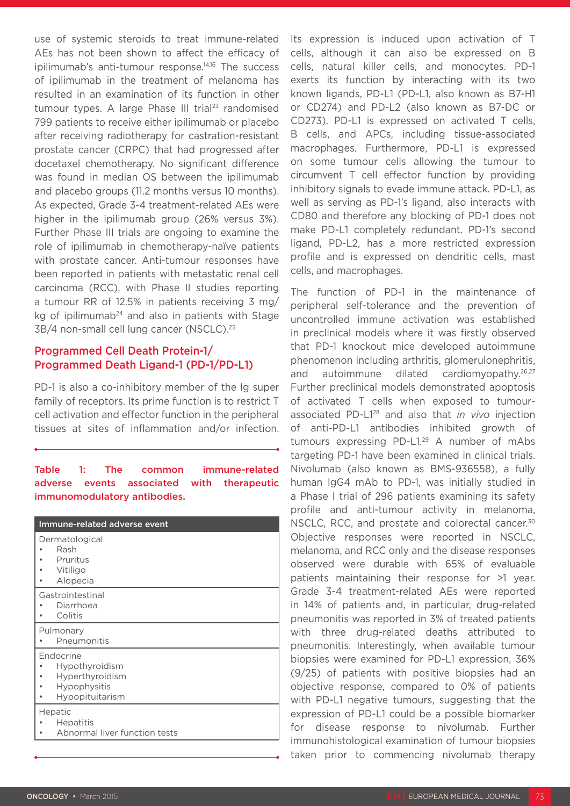use of systemic steroids to treat immune-related AEs has not been shown to affect the efficacy of ipilimumab's anti-tumour response.<sup>14,16</sup> The success of ipilimumab in the treatment of melanoma has resulted in an examination of its function in other tumour types. A large Phase III trial<sup>23</sup> randomised 799 patients to receive either ipilimumab or placebo after receiving radiotherapy for castration-resistant prostate cancer (CRPC) that had progressed after docetaxel chemotherapy. No significant difference was found in median OS between the ipilimumab and placebo groups (11.2 months versus 10 months). As expected, Grade 3-4 treatment-related AEs were higher in the ipilimumab group (26% versus 3%). Further Phase III trials are ongoing to examine the role of ipilimumab in chemotherapy-naïve patients with prostate cancer. Anti-tumour responses have been reported in patients with metastatic renal cell carcinoma (RCC), with Phase II studies reporting a tumour RR of 12.5% in patients receiving 3 mg/ kg of ipilimumab<sup>24</sup> and also in patients with Stage 3B/4 non-small cell lung cancer (NSCLC).25

#### Programmed Cell Death Protein-1/ Programmed Death Ligand-1 (PD-1/PD-L1)

PD-1 is also a co-inhibitory member of the Ig super family of receptors. Its prime function is to restrict T cell activation and effector function in the peripheral tissues at sites of inflammation and/or infection.

#### Table 1: The common immune-related adverse events associated with therapeutic immunomodulatory antibodies.

| Immune-related adverse event                                                      |
|-----------------------------------------------------------------------------------|
| Dermatological<br>Rash<br>Pruritus<br>Vitiligo<br>Alopecia                        |
| Gastrointestinal<br>Diarrhoea<br>Colitis                                          |
| Pulmonary<br>Pneumonitis                                                          |
| Endocrine<br>Hypothyroidism<br>Hyperthyroidism<br>Hypophysitis<br>Hypopituitarism |
| Hepatic<br><b>Hepatitis</b><br>Abnormal liver function tests                      |
|                                                                                   |

Its expression is induced upon activation of T cells, although it can also be expressed on B cells, natural killer cells, and monocytes. PD-1 exerts its function by interacting with its two known ligands, PD-L1 (PD-L1, also known as B7-H1 or CD274) and PD-L2 (also known as B7-DC or CD273). PD-L1 is expressed on activated T cells, B cells, and APCs, including tissue-associated macrophages. Furthermore, PD-L1 is expressed on some tumour cells allowing the tumour to circumvent T cell effector function by providing inhibitory signals to evade immune attack. PD-L1, as well as serving as PD-1's ligand, also interacts with CD80 and therefore any blocking of PD-1 does not make PD-L1 completely redundant. PD-1's second ligand, PD-L2, has a more restricted expression profile and is expressed on dendritic cells, mast cells, and macrophages.

The function of PD-1 in the maintenance of peripheral self-tolerance and the prevention of uncontrolled immune activation was established in preclinical models where it was firstly observed that PD-1 knockout mice developed autoimmune phenomenon including arthritis, glomerulonephritis, and autoimmune dilated cardiomyopathy.<sup>26,27</sup> Further preclinical models demonstrated apoptosis of activated T cells when exposed to tumourassociated PD-L128 and also that *in vivo* injection of anti-PD-L1 antibodies inhibited growth of tumours expressing PD-L1.29 A number of mAbs targeting PD-1 have been examined in clinical trials. Nivolumab (also known as BMS-936558), a fully human IgG4 mAb to PD-1, was initially studied in a Phase I trial of 296 patients examining its safety profile and anti-tumour activity in melanoma, NSCLC, RCC, and prostate and colorectal cancer.<sup>30</sup> Objective responses were reported in NSCLC, melanoma, and RCC only and the disease responses observed were durable with 65% of evaluable patients maintaining their response for >1 year. Grade 3-4 treatment-related AEs were reported in 14% of patients and, in particular, drug-related pneumonitis was reported in 3% of treated patients with three drug-related deaths attributed to pneumonitis. Interestingly, when available tumour biopsies were examined for PD-L1 expression, 36% (9/25) of patients with positive biopsies had an objective response, compared to 0% of patients with PD-L1 negative tumours, suggesting that the expression of PD-L1 could be a possible biomarker for disease response to nivolumab. Further immunohistological examination of tumour biopsies taken prior to commencing nivolumab therapy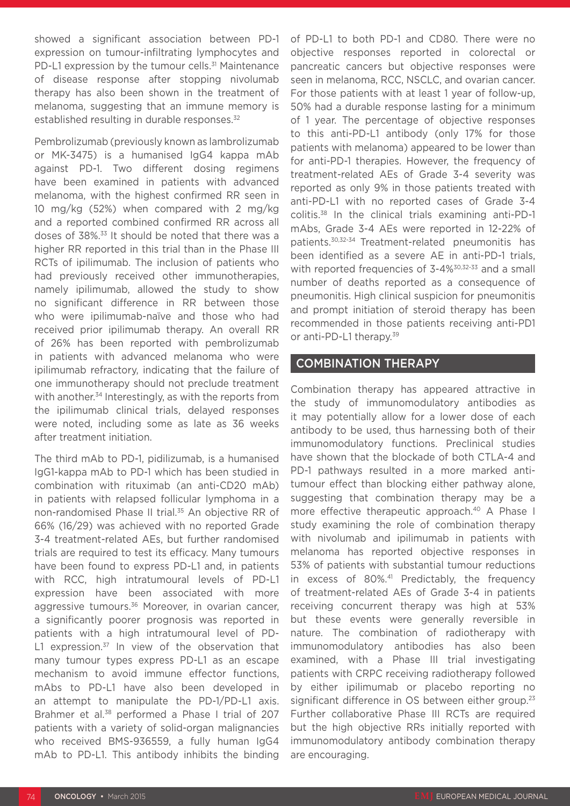showed a significant association between PD-1 expression on tumour-infiltrating lymphocytes and PD-L1 expression by the tumour cells.<sup>31</sup> Maintenance of disease response after stopping nivolumab therapy has also been shown in the treatment of melanoma, suggesting that an immune memory is established resulting in durable responses.<sup>32</sup>

Pembrolizumab (previously known as lambrolizumab or MK-3475) is a humanised IgG4 kappa mAb against PD-1. Two different dosing regimens have been examined in patients with advanced melanoma, with the highest confirmed RR seen in 10 mg/kg (52%) when compared with 2 mg/kg and a reported combined confirmed RR across all doses of 38%.33 It should be noted that there was a higher RR reported in this trial than in the Phase III RCTs of ipilimumab. The inclusion of patients who had previously received other immunotherapies, namely ipilimumab, allowed the study to show no significant difference in RR between those who were ipilimumab-naïve and those who had received prior ipilimumab therapy. An overall RR of 26% has been reported with pembrolizumab in patients with advanced melanoma who were ipilimumab refractory, indicating that the failure of one immunotherapy should not preclude treatment with another.<sup>34</sup> Interestingly, as with the reports from the ipilimumab clinical trials, delayed responses were noted, including some as late as 36 weeks after treatment initiation.

The third mAb to PD-1, pidilizumab, is a humanised IgG1-kappa mAb to PD-1 which has been studied in combination with rituximab (an anti-CD20 mAb) in patients with relapsed follicular lymphoma in a non-randomised Phase II trial.35 An objective RR of 66% (16/29) was achieved with no reported Grade 3-4 treatment-related AEs, but further randomised trials are required to test its efficacy. Many tumours have been found to express PD-L1 and, in patients with RCC, high intratumoural levels of PD-L1 expression have been associated with more aggressive tumours.<sup>36</sup> Moreover, in ovarian cancer, a significantly poorer prognosis was reported in patients with a high intratumoural level of PD-L1 expression. $37$  In view of the observation that many tumour types express PD-L1 as an escape mechanism to avoid immune effector functions, mAbs to PD-L1 have also been developed in an attempt to manipulate the PD-1/PD-L1 axis. Brahmer et al.<sup>38</sup> performed a Phase I trial of 207 patients with a variety of solid-organ malignancies who received BMS-936559, a fully human IgG4 mAb to PD-L1. This antibody inhibits the binding

of PD-L1 to both PD-1 and CD80. There were no objective responses reported in colorectal or pancreatic cancers but objective responses were seen in melanoma, RCC, NSCLC, and ovarian cancer. For those patients with at least 1 year of follow-up, 50% had a durable response lasting for a minimum of 1 year. The percentage of objective responses to this anti-PD-L1 antibody (only 17% for those patients with melanoma) appeared to be lower than for anti-PD-1 therapies. However, the frequency of treatment-related AEs of Grade 3-4 severity was reported as only 9% in those patients treated with anti-PD-L1 with no reported cases of Grade 3-4 colitis.38 In the clinical trials examining anti-PD-1 mAbs, Grade 3-4 AEs were reported in 12-22% of patients.30,32-34 Treatment-related pneumonitis has been identified as a severe AE in anti-PD-1 trials, with reported frequencies of 3-4%<sup>30,32-33</sup> and a small number of deaths reported as a consequence of pneumonitis. High clinical suspicion for pneumonitis and prompt initiation of steroid therapy has been recommended in those patients receiving anti-PD1 or anti-PD-L1 therapy.39

#### COMBINATION THERAPY

Combination therapy has appeared attractive in the study of immunomodulatory antibodies as it may potentially allow for a lower dose of each antibody to be used, thus harnessing both of their immunomodulatory functions. Preclinical studies have shown that the blockade of both CTLA-4 and PD-1 pathways resulted in a more marked antitumour effect than blocking either pathway alone, suggesting that combination therapy may be a more effective therapeutic approach.<sup>40</sup> A Phase I study examining the role of combination therapy with nivolumab and ipilimumab in patients with melanoma has reported objective responses in 53% of patients with substantial tumour reductions in excess of 80%.<sup>41</sup> Predictably, the frequency of treatment-related AEs of Grade 3-4 in patients receiving concurrent therapy was high at 53% but these events were generally reversible in nature. The combination of radiotherapy with immunomodulatory antibodies has also been examined, with a Phase III trial investigating patients with CRPC receiving radiotherapy followed by either ipilimumab or placebo reporting no significant difference in OS between either group.<sup>23</sup> Further collaborative Phase III RCTs are required but the high objective RRs initially reported with immunomodulatory antibody combination therapy are encouraging.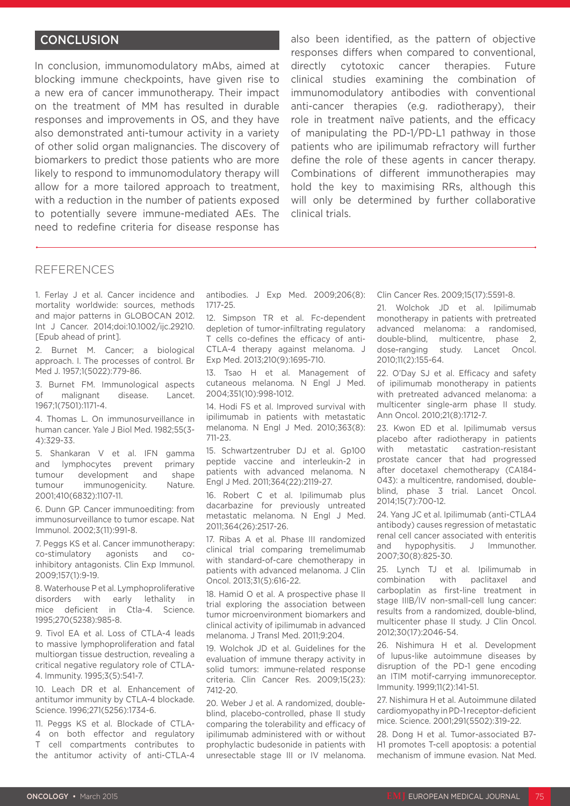#### **CONCLUSION**

In conclusion, immunomodulatory mAbs, aimed at blocking immune checkpoints, have given rise to a new era of cancer immunotherapy. Their impact on the treatment of MM has resulted in durable responses and improvements in OS, and they have also demonstrated anti-tumour activity in a variety of other solid organ malignancies. The discovery of biomarkers to predict those patients who are more likely to respond to immunomodulatory therapy will allow for a more tailored approach to treatment, with a reduction in the number of patients exposed to potentially severe immune-mediated AEs. The need to redefine criteria for disease response has

also been identified, as the pattern of objective responses differs when compared to conventional, directly cytotoxic cancer therapies. Future clinical studies examining the combination of immunomodulatory antibodies with conventional anti-cancer therapies (e.g. radiotherapy), their role in treatment naïve patients, and the efficacy of manipulating the PD-1/PD-L1 pathway in those patients who are ipilimumab refractory will further define the role of these agents in cancer therapy. Combinations of different immunotherapies may hold the key to maximising RRs, although this will only be determined by further collaborative clinical trials.

#### REFERENCES

1. Ferlay J et al. Cancer incidence and mortality worldwide: sources, methods and major patterns in GLOBOCAN 2012. Int J Cancer. 2014;doi:10.1002/ijc.29210. [Epub ahead of print].

2. Burnet M. Cancer; a biological approach. I. The processes of control. Br Med J. 1957;1(5022):779-86.

3. Burnet FM. Immunological aspects of malignant disease. Lancet. 1967;1(7501):1171-4.

4. Thomas L. On immunosurveillance in human cancer. Yale J Biol Med. 1982;55(3- 4):329-33.

5. Shankaran V et al. IFN gamma and lymphocytes prevent primary tumour development and shape tumour immunogenicity. Nature. 2001;410(6832):1107-11.

6. Dunn GP. Cancer immunoediting: from immunosurveillance to tumor escape. Nat Immunol. 2002;3(11):991-8.

7. Peggs KS et al. Cancer immunotherapy: co-stimulatory agonists and coinhibitory antagonists. Clin Exp Immunol. 2009;157(1):9-19.

8. Waterhouse P et al. Lymphoproliferative disorders with early lethality in mice deficient in Ctla-4. Science. 1995;270(5238):985-8.

9. Tivol EA et al. Loss of CTLA-4 leads to massive lymphoproliferation and fatal multiorgan tissue destruction, revealing a critical negative regulatory role of CTLA-4. Immunity. 1995;3(5):541-7.

10. Leach DR et al. Enhancement of antitumor immunity by CTLA-4 blockade. Science. 1996;271(5256):1734-6.

11. Peggs KS et al. Blockade of CTLA-4 on both effector and regulatory T cell compartments contributes to the antitumor activity of anti-CTLA-4 antibodies. J Exp Med. 2009;206(8): 1717-25.

12. Simpson TR et al. Fc-dependent depletion of tumor-infiltrating regulatory T cells co-defines the efficacy of anti-CTLA-4 therapy against melanoma. J Exp Med. 2013;210(9):1695-710.

13. Tsao H et al. Management of cutaneous melanoma. N Engl J Med. 2004;351(10):998-1012.

14. Hodi FS et al. Improved survival with ipilimumab in patients with metastatic melanoma. N Engl J Med. 2010;363(8): 711-23.

15. Schwartzentruber DJ et al. Gp100 peptide vaccine and interleukin-2 in patients with advanced melanoma. N Engl J Med. 2011;364(22):2119-27.

16. Robert C et al. Ipilimumab plus dacarbazine for previously untreated metastatic melanoma. N Engl J Med. 2011;364(26):2517-26.

17. Ribas A et al. Phase III randomized clinical trial comparing tremelimumab with standard-of-care chemotherapy in patients with advanced melanoma. J Clin Oncol. 2013;31(5):616-22.

18. Hamid O et al. A prospective phase II trial exploring the association between tumor microenvironment biomarkers and clinical activity of ipilimumab in advanced melanoma. J Transl Med. 2011;9:204.

19. Wolchok JD et al. Guidelines for the evaluation of immune therapy activity in solid tumors: immune-related response criteria. Clin Cancer Res. 2009;15(23): 7412-20.

20. Weber J et al. A randomized, doubleblind, placebo-controlled, phase II study comparing the tolerability and efficacy of ipilimumab administered with or without prophylactic budesonide in patients with unresectable stage III or IV melanoma.

Clin Cancer Res. 2009;15(17):5591-8.

21. Wolchok JD et al. Ipilimumab monotherapy in patients with pretreated advanced melanoma: a randomised, double-blind, multicentre, phase 2, dose-ranging study. Lancet Oncol. 2010;11(2):155-64.

22. O'Day SJ et al. Efficacy and safety of ipilimumab monotherapy in patients with pretreated advanced melanoma: a multicenter single-arm phase II study. Ann Oncol. 2010;21(8):1712-7.

23. Kwon ED et al. Ipilimumab versus placebo after radiotherapy in patients with metastatic castration-resistant prostate cancer that had progressed after docetaxel chemotherapy (CA184- 043): a multicentre, randomised, doubleblind, phase 3 trial. Lancet Oncol. 2014;15(7):700-12.

24. Yang JC et al. Ipilimumab (anti-CTLA4 antibody) causes regression of metastatic renal cell cancer associated with enteritis and hypophysitis. J Immunother. 2007;30(8):825-30.

25. Lynch TJ et al. Ipilimumab in combination with paclitaxel and carboplatin as first-line treatment in stage IIIB/IV non-small-cell lung cancer: results from a randomized, double-blind, multicenter phase II study. J Clin Oncol. 2012;30(17):2046-54.

26. Nishimura H et al. Development of lupus-like autoimmune diseases by disruption of the PD-1 gene encoding an ITIM motif-carrying immunoreceptor. Immunity. 1999;11(2):141-51.

27. Nishimura H et al. Autoimmune dilated cardiomyopathy in PD-1 receptor-deficient mice. Science. 2001;291(5502):319-22.

28. Dong H et al. Tumor-associated B7- H1 promotes T-cell apoptosis: a potential mechanism of immune evasion. Nat Med.